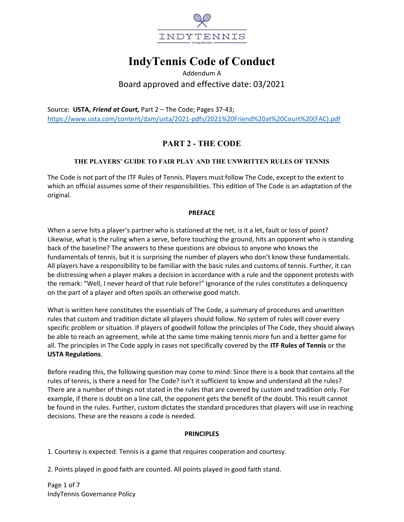

# IndyTennis Code of Conduct

Addendum A Board approved and effective date: 03/2021

Source: USTA, Friend at Court, Part 2 - The Code; Pages 37-43; https://www.usta.com/content/dam/usta/2021-pdfs/2021%20Friend%20at%20Court%20(FAC).pdf

# PART 2 - THE CODE

# THE PLAYERS' GUIDE TO FAIR PLAY AND THE UNWRITTEN RULES OF TENNIS

The Code is not part of the ITF Rules of Tennis. Players must follow The Code, except to the extent to which an official assumes some of their responsibilities. This edition of The Code is an adaptation of the original.

# PREFACE

When a serve hits a player's partner who is stationed at the net, is it a let, fault or loss of point? Likewise, what is the ruling when a serve, before touching the ground, hits an opponent who is standing back of the baseline? The answers to these questions are obvious to anyone who knows the fundamentals of tennis, but it is surprising the number of players who don't know these fundamentals. All players have a responsibility to be familiar with the basic rules and customs of tennis. Further, it can be distressing when a player makes a decision in accordance with a rule and the opponent protests with the remark: "Well, I never heard of that rule before!" Ignorance of the rules constitutes a delinquency on the part of a player and often spoils an otherwise good match.

What is written here constitutes the essentials of The Code, a summary of procedures and unwritten rules that custom and tradition dictate all players should follow. No system of rules will cover every specific problem or situation. If players of goodwill follow the principles of The Code, they should always be able to reach an agreement, while at the same time making tennis more fun and a better game for all. The principles in The Code apply in cases not specifically covered by the ITF Rules of Tennis or the USTA Regulations.

Before reading this, the following question may come to mind: Since there is a book that contains all the rules of tennis, is there a need for The Code? Isn't it sufficient to know and understand all the rules? There are a number of things not stated in the rules that are covered by custom and tradition only. For example, if there is doubt on a line call, the opponent gets the benefit of the doubt. This result cannot be found in the rules. Further, custom dictates the standard procedures that players will use in reaching decisions. These are the reasons a code is needed.

# PRINCIPLES

1. Courtesy is expected. Tennis is a game that requires cooperation and courtesy.

2. Points played in good faith are counted. All points played in good faith stand.

Page 1 of 7 IndyTennis Governance Policy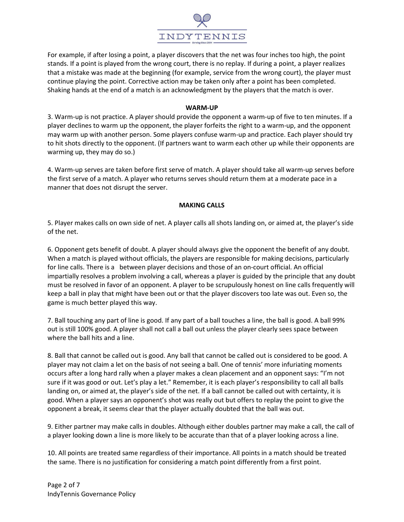

For example, if after losing a point, a player discovers that the net was four inches too high, the point stands. If a point is played from the wrong court, there is no replay. If during a point, a player realizes that a mistake was made at the beginning (for example, service from the wrong court), the player must continue playing the point. Corrective action may be taken only after a point has been completed. Shaking hands at the end of a match is an acknowledgment by the players that the match is over.

#### WARM-UP

3. Warm-up is not practice. A player should provide the opponent a warm-up of five to ten minutes. If a player declines to warm up the opponent, the player forfeits the right to a warm-up, and the opponent may warm up with another person. Some players confuse warm-up and practice. Each player should try to hit shots directly to the opponent. (If partners want to warm each other up while their opponents are warming up, they may do so.)

4. Warm-up serves are taken before first serve of match. A player should take all warm-up serves before the first serve of a match. A player who returns serves should return them at a moderate pace in a manner that does not disrupt the server.

#### MAKING CALLS

5. Player makes calls on own side of net. A player calls all shots landing on, or aimed at, the player's side of the net.

6. Opponent gets benefit of doubt. A player should always give the opponent the benefit of any doubt. When a match is played without officials, the players are responsible for making decisions, particularly for line calls. There is a between player decisions and those of an on-court official. An official impartially resolves a problem involving a call, whereas a player is guided by the principle that any doubt must be resolved in favor of an opponent. A player to be scrupulously honest on line calls frequently will keep a ball in play that might have been out or that the player discovers too late was out. Even so, the game is much better played this way.

7. Ball touching any part of line is good. If any part of a ball touches a line, the ball is good. A ball 99% out is still 100% good. A player shall not call a ball out unless the player clearly sees space between where the ball hits and a line.

8. Ball that cannot be called out is good. Any ball that cannot be called out is considered to be good. A player may not claim a let on the basis of not seeing a ball. One of tennis' more infuriating moments occurs after a long hard rally when a player makes a clean placement and an opponent says: "I'm not sure if it was good or out. Let's play a let." Remember, it is each player's responsibility to call all balls landing on, or aimed at, the player's side of the net. If a ball cannot be called out with certainty, it is good. When a player says an opponent's shot was really out but offers to replay the point to give the opponent a break, it seems clear that the player actually doubted that the ball was out.

9. Either partner may make calls in doubles. Although either doubles partner may make a call, the call of a player looking down a line is more likely to be accurate than that of a player looking across a line.

10. All points are treated same regardless of their importance. All points in a match should be treated the same. There is no justification for considering a match point differently from a first point.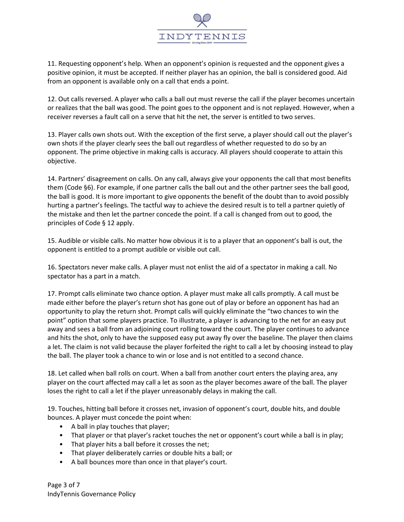

11. Requesting opponent's help. When an opponent's opinion is requested and the opponent gives a positive opinion, it must be accepted. If neither player has an opinion, the ball is considered good. Aid from an opponent is available only on a call that ends a point.

12. Out calls reversed. A player who calls a ball out must reverse the call if the player becomes uncertain or realizes that the ball was good. The point goes to the opponent and is not replayed. However, when a receiver reverses a fault call on a serve that hit the net, the server is entitled to two serves.

13. Player calls own shots out. With the exception of the first serve, a player should call out the player's own shots if the player clearly sees the ball out regardless of whether requested to do so by an opponent. The prime objective in making calls is accuracy. All players should cooperate to attain this objective.

14. Partners' disagreement on calls. On any call, always give your opponents the call that most benefits them (Code §6). For example, if one partner calls the ball out and the other partner sees the ball good, the ball is good. It is more important to give opponents the benefit of the doubt than to avoid possibly hurting a partner's feelings. The tactful way to achieve the desired result is to tell a partner quietly of the mistake and then let the partner concede the point. If a call is changed from out to good, the principles of Code § 12 apply.

15. Audible or visible calls. No matter how obvious it is to a player that an opponent's ball is out, the opponent is entitled to a prompt audible or visible out call.

16. Spectators never make calls. A player must not enlist the aid of a spectator in making a call. No spectator has a part in a match.

17. Prompt calls eliminate two chance option. A player must make all calls promptly. A call must be made either before the player's return shot has gone out of play or before an opponent has had an opportunity to play the return shot. Prompt calls will quickly eliminate the "two chances to win the point" option that some players practice. To illustrate, a player is advancing to the net for an easy put away and sees a ball from an adjoining court rolling toward the court. The player continues to advance and hits the shot, only to have the supposed easy put away fly over the baseline. The player then claims a let. The claim is not valid because the player forfeited the right to call a let by choosing instead to play the ball. The player took a chance to win or lose and is not entitled to a second chance.

18. Let called when ball rolls on court. When a ball from another court enters the playing area, any player on the court affected may call a let as soon as the player becomes aware of the ball. The player loses the right to call a let if the player unreasonably delays in making the call.

19. Touches, hitting ball before it crosses net, invasion of opponent's court, double hits, and double bounces. A player must concede the point when:

- A ball in play touches that player;
- That player or that player's racket touches the net or opponent's court while a ball is in play;
- That player hits a ball before it crosses the net;
- That player deliberately carries or double hits a ball; or
- A ball bounces more than once in that player's court.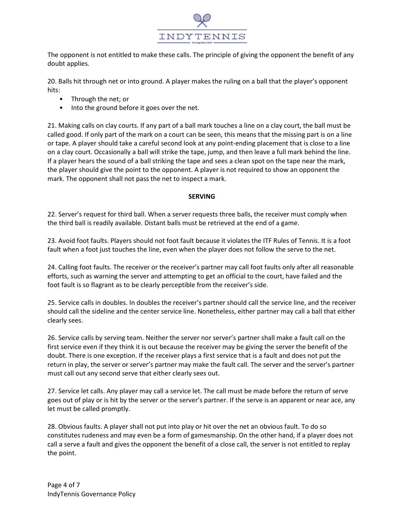

The opponent is not entitled to make these calls. The principle of giving the opponent the benefit of any doubt applies.

20. Balls hit through net or into ground. A player makes the ruling on a ball that the player's opponent hits:

- Through the net; or
- Into the ground before it goes over the net.

21. Making calls on clay courts. If any part of a ball mark touches a line on a clay court, the ball must be called good. If only part of the mark on a court can be seen, this means that the missing part is on a line or tape. A player should take a careful second look at any point-ending placement that is close to a line on a clay court. Occasionally a ball will strike the tape, jump, and then leave a full mark behind the line. If a player hears the sound of a ball striking the tape and sees a clean spot on the tape near the mark, the player should give the point to the opponent. A player is not required to show an opponent the mark. The opponent shall not pass the net to inspect a mark.

# SERVING

22. Server's request for third ball. When a server requests three balls, the receiver must comply when the third ball is readily available. Distant balls must be retrieved at the end of a game.

23. Avoid foot faults. Players should not foot fault because it violates the ITF Rules of Tennis. It is a foot fault when a foot just touches the line, even when the player does not follow the serve to the net.

24. Calling foot faults. The receiver or the receiver's partner may call foot faults only after all reasonable efforts, such as warning the server and attempting to get an official to the court, have failed and the foot fault is so flagrant as to be clearly perceptible from the receiver's side.

25. Service calls in doubles. In doubles the receiver's partner should call the service line, and the receiver should call the sideline and the center service line. Nonetheless, either partner may call a ball that either clearly sees.

26. Service calls by serving team. Neither the server nor server's partner shall make a fault call on the first service even if they think it is out because the receiver may be giving the server the benefit of the doubt. There is one exception. If the receiver plays a first service that is a fault and does not put the return in play, the server or server's partner may make the fault call. The server and the server's partner must call out any second serve that either clearly sees out.

27. Service let calls. Any player may call a service let. The call must be made before the return of serve goes out of play or is hit by the server or the server's partner. If the serve is an apparent or near ace, any let must be called promptly.

28. Obvious faults. A player shall not put into play or hit over the net an obvious fault. To do so constitutes rudeness and may even be a form of gamesmanship. On the other hand, if a player does not call a serve a fault and gives the opponent the benefit of a close call, the server is not entitled to replay the point.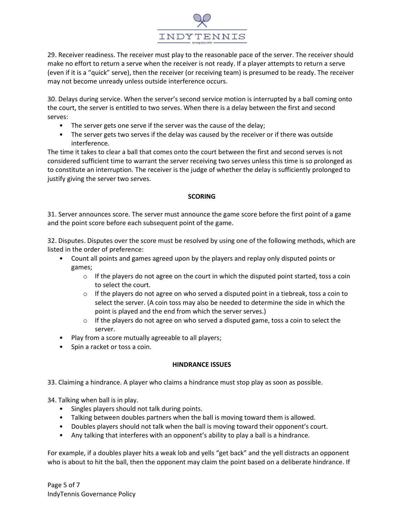

29. Receiver readiness. The receiver must play to the reasonable pace of the server. The receiver should make no effort to return a serve when the receiver is not ready. If a player attempts to return a serve (even if it is a "quick" serve), then the receiver (or receiving team) is presumed to be ready. The receiver may not become unready unless outside interference occurs.

30. Delays during service. When the server's second service motion is interrupted by a ball coming onto the court, the server is entitled to two serves. When there is a delay between the first and second serves:

- The server gets one serve if the server was the cause of the delay;
- The server gets two serves if the delay was caused by the receiver or if there was outside interference.

The time it takes to clear a ball that comes onto the court between the first and second serves is not considered sufficient time to warrant the server receiving two serves unless this time is so prolonged as to constitute an interruption. The receiver is the judge of whether the delay is sufficiently prolonged to justify giving the server two serves.

#### **SCORING**

31. Server announces score. The server must announce the game score before the first point of a game and the point score before each subsequent point of the game.

32. Disputes. Disputes over the score must be resolved by using one of the following methods, which are listed in the order of preference:

- Count all points and games agreed upon by the players and replay only disputed points or games;
	- $\circ$  If the players do not agree on the court in which the disputed point started, toss a coin to select the court.
	- $\circ$  If the players do not agree on who served a disputed point in a tiebreak, toss a coin to select the server. (A coin toss may also be needed to determine the side in which the point is played and the end from which the server serves.)
	- $\circ$  If the players do not agree on who served a disputed game, toss a coin to select the server.
- Play from a score mutually agreeable to all players;
- Spin a racket or toss a coin.

#### HINDRANCE ISSUES

33. Claiming a hindrance. A player who claims a hindrance must stop play as soon as possible.

34. Talking when ball is in play.

- Singles players should not talk during points.
- Talking between doubles partners when the ball is moving toward them is allowed.
- Doubles players should not talk when the ball is moving toward their opponent's court.
- Any talking that interferes with an opponent's ability to play a ball is a hindrance.

For example, if a doubles player hits a weak lob and yells "get back" and the yell distracts an opponent who is about to hit the ball, then the opponent may claim the point based on a deliberate hindrance. If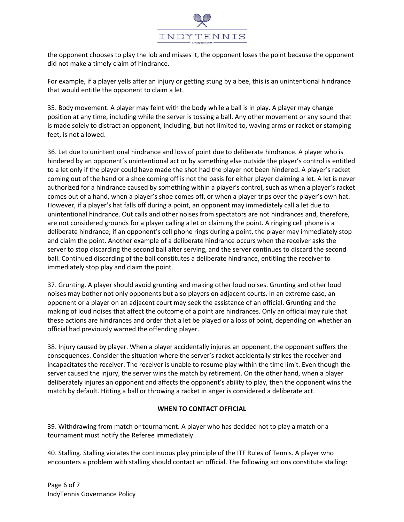

the opponent chooses to play the lob and misses it, the opponent loses the point because the opponent did not make a timely claim of hindrance.

For example, if a player yells after an injury or getting stung by a bee, this is an unintentional hindrance that would entitle the opponent to claim a let.

35. Body movement. A player may feint with the body while a ball is in play. A player may change position at any time, including while the server is tossing a ball. Any other movement or any sound that is made solely to distract an opponent, including, but not limited to, waving arms or racket or stamping feet, is not allowed.

36. Let due to unintentional hindrance and loss of point due to deliberate hindrance. A player who is hindered by an opponent's unintentional act or by something else outside the player's control is entitled to a let only if the player could have made the shot had the player not been hindered. A player's racket coming out of the hand or a shoe coming off is not the basis for either player claiming a let. A let is never authorized for a hindrance caused by something within a player's control, such as when a player's racket comes out of a hand, when a player's shoe comes off, or when a player trips over the player's own hat. However, if a player's hat falls off during a point, an opponent may immediately call a let due to unintentional hindrance. Out calls and other noises from spectators are not hindrances and, therefore, are not considered grounds for a player calling a let or claiming the point. A ringing cell phone is a deliberate hindrance; if an opponent's cell phone rings during a point, the player may immediately stop and claim the point. Another example of a deliberate hindrance occurs when the receiver asks the server to stop discarding the second ball after serving, and the server continues to discard the second ball. Continued discarding of the ball constitutes a deliberate hindrance, entitling the receiver to immediately stop play and claim the point.

37. Grunting. A player should avoid grunting and making other loud noises. Grunting and other loud noises may bother not only opponents but also players on adjacent courts. In an extreme case, an opponent or a player on an adjacent court may seek the assistance of an official. Grunting and the making of loud noises that affect the outcome of a point are hindrances. Only an official may rule that these actions are hindrances and order that a let be played or a loss of point, depending on whether an official had previously warned the offending player.

38. Injury caused by player. When a player accidentally injures an opponent, the opponent suffers the consequences. Consider the situation where the server's racket accidentally strikes the receiver and incapacitates the receiver. The receiver is unable to resume play within the time limit. Even though the server caused the injury, the server wins the match by retirement. On the other hand, when a player deliberately injures an opponent and affects the opponent's ability to play, then the opponent wins the match by default. Hitting a ball or throwing a racket in anger is considered a deliberate act.

# WHEN TO CONTACT OFFICIAL

39. Withdrawing from match or tournament. A player who has decided not to play a match or a tournament must notify the Referee immediately.

40. Stalling. Stalling violates the continuous play principle of the ITF Rules of Tennis. A player who encounters a problem with stalling should contact an official. The following actions constitute stalling: